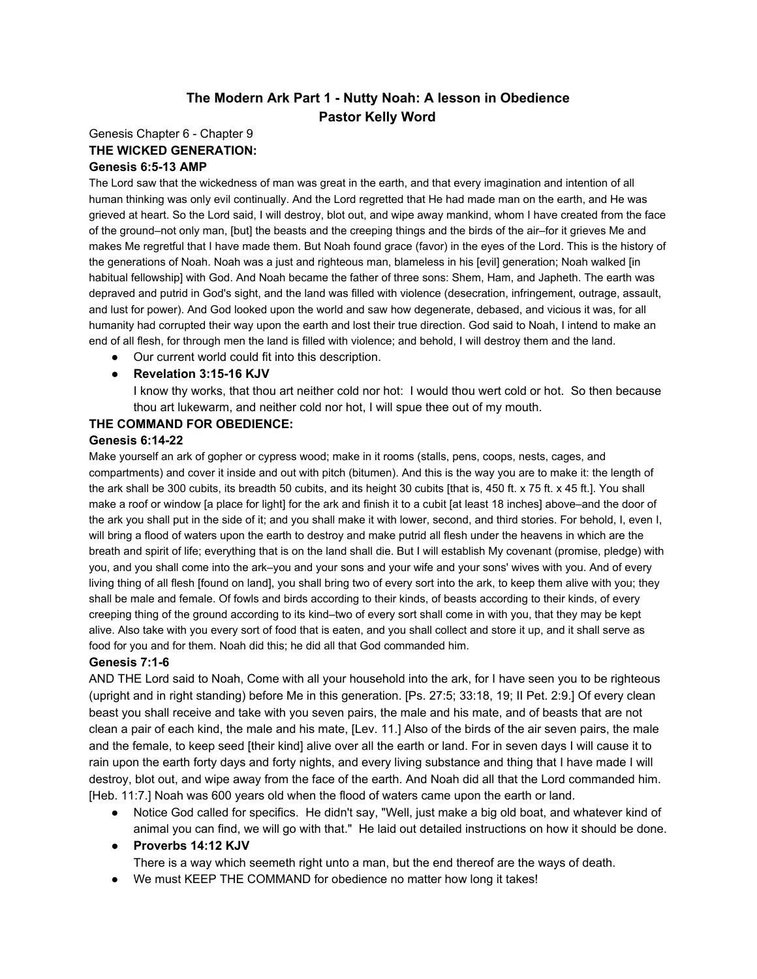# **The Modern Ark Part 1 Nutty Noah: A lesson in Obedience Pastor Kelly Word**

## Genesis Chapter 6 - Chapter 9 **THE WICKED GENERATION: Genesis 6:513 AMP**

The Lord saw that the wickedness of man was great in the earth, and that every imagination and intention of all human thinking was only evil continually. And the Lord regretted that He had made man on the earth, and He was grieved at heart. So the Lord said, I will destroy, blot out, and wipe away mankind, whom I have created from the face of the ground–not only man, [but] the beasts and the creeping things and the birds of the air–for it grieves Me and makes Me regretful that I have made them. But Noah found grace (favor) in the eyes of the Lord. This is the history of the generations of Noah. Noah was a just and righteous man, blameless in his [evil] generation; Noah walked [in habitual fellowship] with God. And Noah became the father of three sons: Shem, Ham, and Japheth. The earth was depraved and putrid in God's sight, and the land was filled with violence (desecration, infringement, outrage, assault, and lust for power). And God looked upon the world and saw how degenerate, debased, and vicious it was, for all humanity had corrupted their way upon the earth and lost their true direction. God said to Noah, I intend to make an end of all flesh, for through men the land is filled with violence; and behold, I will destroy them and the land.

● Our current world could fit into this description.

## **● Revelation 3:1516 KJV**

I know thy works, that thou art neither cold nor hot: I would thou wert cold or hot. So then because thou art lukewarm, and neither cold nor hot, I will spue thee out of my mouth.

## **THE COMMAND FOR OBEDIENCE:**

## **Genesis 6:1422**

Make yourself an ark of gopher or cypress wood; make in it rooms (stalls, pens, coops, nests, cages, and compartments) and cover it inside and out with pitch (bitumen). And this is the way you are to make it: the length of the ark shall be 300 cubits, its breadth 50 cubits, and its height 30 cubits [that is, 450 ft. x 75 ft. x 45 ft.]. You shall make a roof or window [a place for light] for the ark and finish it to a cubit [at least 18 inches] above–and the door of the ark you shall put in the side of it; and you shall make it with lower, second, and third stories. For behold, I, even I, will bring a flood of waters upon the earth to destroy and make putrid all flesh under the heavens in which are the breath and spirit of life; everything that is on the land shall die. But I will establish My covenant (promise, pledge) with you, and you shall come into the ark–you and your sons and your wife and your sons' wives with you. And of every living thing of all flesh [found on land], you shall bring two of every sort into the ark, to keep them alive with you; they shall be male and female. Of fowls and birds according to their kinds, of beasts according to their kinds, of every creeping thing of the ground according to its kind–two of every sort shall come in with you, that they may be kept alive. Also take with you every sort of food that is eaten, and you shall collect and store it up, and it shall serve as food for you and for them. Noah did this; he did all that God commanded him.

## **Genesis 7:16**

AND THE Lord said to Noah, Come with all your household into the ark, for I have seen you to be righteous (upright and in right standing) before Me in this generation. [Ps. 27:5; 33:18, 19; II Pet. 2:9.] Of every clean beast you shall receive and take with you seven pairs, the male and his mate, and of beasts that are not clean a pair of each kind, the male and his mate, [Lev. 11.] Also of the birds of the air seven pairs, the male and the female, to keep seed [their kind] alive over all the earth or land. For in seven days I will cause it to rain upon the earth forty days and forty nights, and every living substance and thing that I have made I will destroy, blot out, and wipe away from the face of the earth. And Noah did all that the Lord commanded him. [Heb. 11:7.] Noah was 600 years old when the flood of waters came upon the earth or land.

- Notice God called for specifics. He didn't say, "Well, just make a big old boat, and whatever kind of animal you can find, we will go with that." He laid out detailed instructions on how it should be done.
- **● Proverbs 14:12 KJV**

There is a way which seemeth right unto a man, but the end thereof are the ways of death.

● We must KEEP THE COMMAND for obedience no matter how long it takes!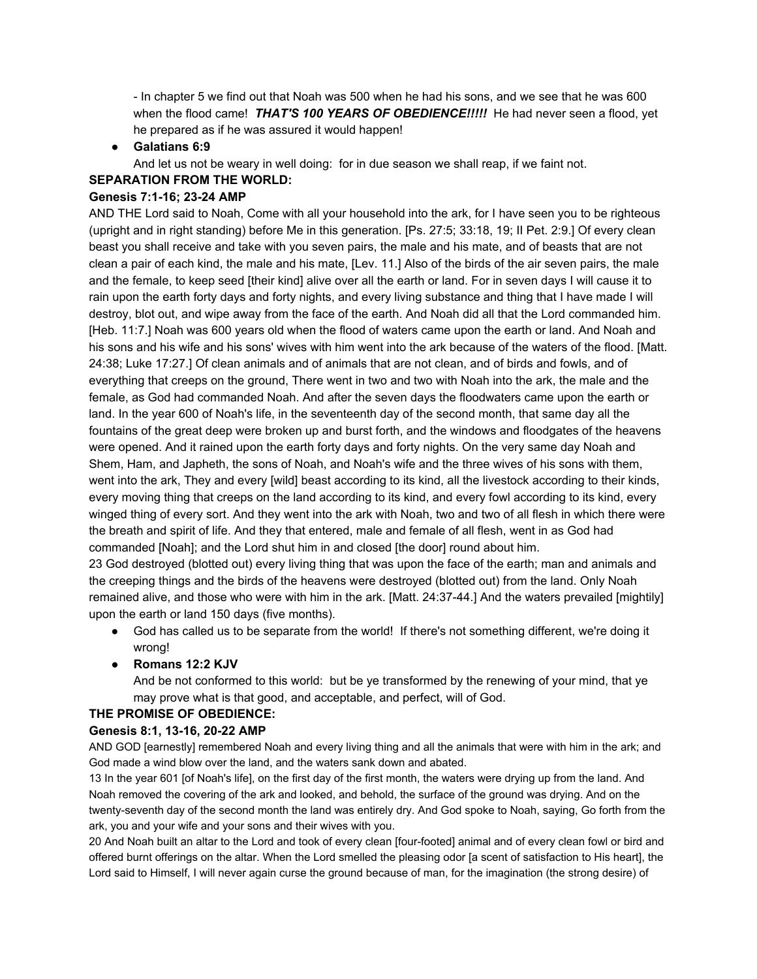- In chapter 5 we find out that Noah was 500 when he had his sons, and we see that he was 600 when the flood came! *THAT'S 100 YEARS OF OBEDIENCE!!!!!*He had never seen a flood, yet he prepared as if he was assured it would happen!

**● Galatians 6:9**

And let us not be weary in well doing: for in due season we shall reap, if we faint not.

## **SEPARATION FROM THE WORLD:**

## **Genesis 7:116; 2324 AMP**

AND THE Lord said to Noah, Come with all your household into the ark, for I have seen you to be righteous (upright and in right standing) before Me in this generation. [Ps. 27:5; 33:18, 19; II Pet. 2:9.] Of every clean beast you shall receive and take with you seven pairs, the male and his mate, and of beasts that are not clean a pair of each kind, the male and his mate, [Lev. 11.] Also of the birds of the air seven pairs, the male and the female, to keep seed [their kind] alive over all the earth or land. For in seven days I will cause it to rain upon the earth forty days and forty nights, and every living substance and thing that I have made I will destroy, blot out, and wipe away from the face of the earth. And Noah did all that the Lord commanded him. [Heb. 11:7.] Noah was 600 years old when the flood of waters came upon the earth or land. And Noah and his sons and his wife and his sons' wives with him went into the ark because of the waters of the flood. [Matt. 24:38; Luke 17:27.] Of clean animals and of animals that are not clean, and of birds and fowls, and of everything that creeps on the ground, There went in two and two with Noah into the ark, the male and the female, as God had commanded Noah. And after the seven days the floodwaters came upon the earth or land. In the year 600 of Noah's life, in the seventeenth day of the second month, that same day all the fountains of the great deep were broken up and burst forth, and the windows and floodgates of the heavens were opened. And it rained upon the earth forty days and forty nights. On the very same day Noah and Shem, Ham, and Japheth, the sons of Noah, and Noah's wife and the three wives of his sons with them, went into the ark, They and every [wild] beast according to its kind, all the livestock according to their kinds, every moving thing that creeps on the land according to its kind, and every fowl according to its kind, every winged thing of every sort. And they went into the ark with Noah, two and two of all flesh in which there were the breath and spirit of life. And they that entered, male and female of all flesh, went in as God had commanded [Noah]; and the Lord shut him in and closed [the door] round about him.

23 God destroyed (blotted out) every living thing that was upon the face of the earth; man and animals and the creeping things and the birds of the heavens were destroyed (blotted out) from the land. Only Noah remained alive, and those who were with him in the ark. [Matt. 24:3744.] And the waters prevailed [mightily] upon the earth or land 150 days (five months).

- God has called us to be separate from the world! If there's not something different, we're doing it wrong!
- **● Romans 12:2 KJV**

And be not conformed to this world: but be ye transformed by the renewing of your mind, that ye may prove what is that good, and acceptable, and perfect, will of God.

# **THE PROMISE OF OBEDIENCE:**

## **Genesis8:1, 1316, 2022AMP**

AND GOD [earnestly] remembered Noah and every living thing and all the animals that were with him in the ark; and God made a wind blow over the land, and the waters sank down and abated.

13 In the year 601 [of Noah's life], on the first day of the first month, the waters were drying up from the land. And Noah removed the covering of the ark and looked, and behold, the surface of the ground was drying. And on the twenty-seventh day of the second month the land was entirely dry. And God spoke to Noah, saying, Go forth from the ark, you and your wife and your sons and their wives with you.

20 And Noah built an altar to the Lord and took of every clean [four-footed] animal and of every clean fowl or bird and offered burnt offerings on the altar. When the Lord smelled the pleasing odor [a scent of satisfaction to His heart], the Lord said to Himself, I will never again curse the ground because of man, for the imagination (the strong desire) of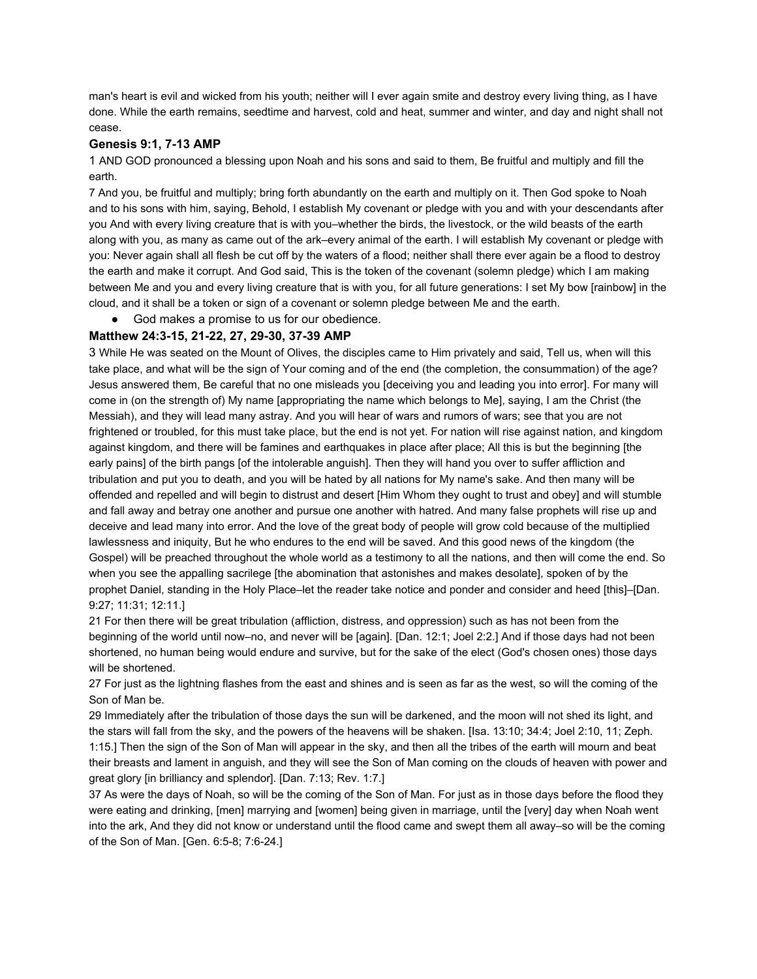man's heart is evil and wicked from his youth; neither will I ever again smite and destroy every living thing, as I have done. While the earth remains, seedtime and harvest, cold and heat, summer and winter, and day and night shall not cease.

### **Genesis9:1, 713AMP**

1 AND GOD pronounced a blessing upon Noah and his sons and said to them, Be fruitful and multiply and fill the earth.

7 And you, be fruitful and multiply; bring forth abundantly on the earth and multiply on it. Then God spoke to Noah and to his sons with him, saying, Behold, I establish My covenant or pledge with you and with your descendants after you And with every living creature that is with you–whether the birds, the livestock, or the wild beasts of the earth along with you, as many as came out of the ark–every animal of the earth. I will establish My covenant or pledge with you: Never again shall all flesh be cut off by the waters of a flood; neither shall there ever again be a flood to destroy the earth and make it corrupt. And God said, This is the token of the covenant (solemn pledge) which I am making between Me and you and every living creature that is with you, for all future generations: I set My bow [rainbow] in the cloud, and it shall be a token or sign of a covenant or solemn pledge between Me and the earth.

God makes a promise to us for our obedience.

### **Matthew24:315, 2122, 27, 2930, 3739AMP**

3 While He was seated on the Mount of Olives, the disciples came to Him privately and said, Tell us, when will this take place, and what will be the sign of Your coming and of the end (the completion, the consummation) of the age? Jesus answered them, Be careful that no one misleads you [deceiving you and leading you into error]. For many will come in (on the strength of) My name [appropriating the name which belongs to Me], saying, I am the Christ (the Messiah), and they will lead many astray. And you will hear of wars and rumors of wars; see that you are not frightened or troubled, for this must take place, but the end is not yet. For nation will rise against nation, and kingdom against kingdom, and there will be famines and earthquakes in place after place; All this is but the beginning [the early pains] of the birth pangs [of the intolerable anguish]. Then they will hand you over to suffer affliction and tribulation and put you to death, and you will be hated by all nations for My name's sake. And then many will be offended and repelled and will begin to distrust and desert [Him Whom they ought to trust and obey] and will stumble and fall away and betray one another and pursue one another with hatred. And many false prophets will rise up and deceive and lead many into error. And the love of the great body of people will grow cold because of the multiplied lawlessness and iniquity, But he who endures to the end will be saved. And this good news of the kingdom (the Gospel) will be preached throughout the whole world as a testimony to all the nations, and then will come the end. So when you see the appalling sacrilege [the abomination that astonishes and makes desolate], spoken of by the prophet Daniel, standing in the Holy Place–let the reader take notice and ponder and consider and heed [this]–[Dan. 9:27; 11:31; 12:11.]

21 For then there will be great tribulation (affliction, distress, and oppression) such as has not been from the beginning of the world until now–no, and never will be [again]. [Dan. 12:1; Joel 2:2.] And if those days had not been shortened, no human being would endure and survive, but for the sake of the elect (God's chosen ones) those days will be shortened.

27 For just as the lightning flashes from the east and shines and is seen as far as the west, so will the coming of the Son of Man be.

29 Immediately after the tribulation of those days the sun will be darkened, and the moon will not shed its light, and the stars will fall from the sky, and the powers of the heavens will be shaken. [Isa. 13:10; 34:4; Joel 2:10, 11; Zeph. 1:15.] Then the sign of the Son of Man will appear in the sky, and then all the tribes of the earth will mourn and beat their breasts and lament in anguish, and they will see the Son of Man coming on the clouds of heaven with power and great glory [in brilliancy and splendor]. [Dan. 7:13; Rev. 1:7.]

37 As were the days of Noah, so will be the coming of the Son of Man. For just as in those days before the flood they were eating and drinking, [men] marrying and [women] being given in marriage, until the [very] day when Noah went into the ark, And they did not know or understand until the flood came and swept them all away–so will be the coming of the Son of Man. [Gen. 6:5-8; 7:6-24.]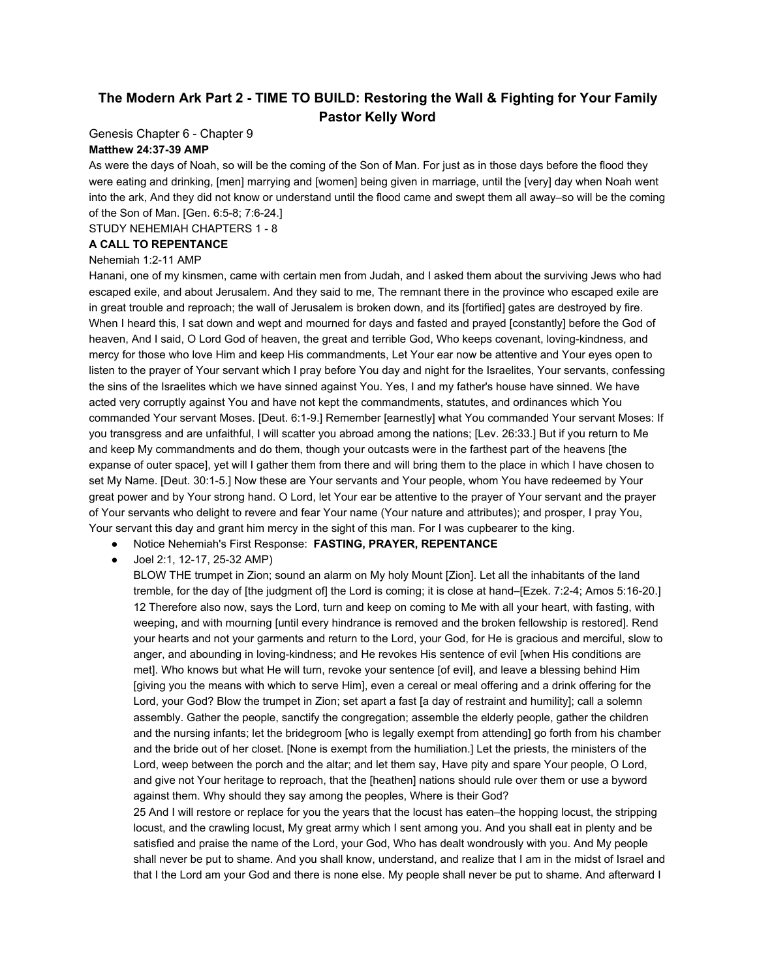# **The Modern Ark Part 2 TIME TO BUILD: Restoring the Wall & Fighting for Your Family Pastor Kelly Word**

Genesis Chapter 6 - Chapter 9

### **Matthew 24:3739 AMP**

As were the days of Noah, so will be the coming of the Son of Man. For just as in those days before the flood they were eating and drinking, [men] marrying and [women] being given in marriage, until the [very] day when Noah went into the ark, And they did not know or understand until the flood came and swept them all away–so will be the coming of the Son of Man. [Gen. 6:5-8; 7:6-24.]

STUDY NEHEMIAH CHAPTERS 1 - 8

### **A CALL TO REPENTANCE**

### Nehemiah 1:2-11 AMP

Hanani, one of my kinsmen, came with certain men from Judah, and I asked them about the surviving Jews who had escaped exile, and about Jerusalem. And they said to me, The remnant there in the province who escaped exile are in great trouble and reproach; the wall of Jerusalem is broken down, and its [fortified] gates are destroyed by fire. When I heard this, I sat down and wept and mourned for days and fasted and prayed [constantly] before the God of heaven, And I said, O Lord God of heaven, the great and terrible God, Who keeps covenant, loving-kindness, and mercy for those who love Him and keep His commandments, Let Your ear now be attentive and Your eyes open to listen to the prayer of Your servant which I pray before You day and night for the Israelites, Your servants, confessing the sins of the Israelites which we have sinned against You. Yes, I and my father's house have sinned. We have acted very corruptly against You and have not kept the commandments, statutes, and ordinances which You commanded Your servant Moses. [Deut. 6:19.] Remember [earnestly] what You commanded Your servant Moses: If you transgress and are unfaithful, I will scatter you abroad among the nations; [Lev. 26:33.] But if you return to Me and keep My commandments and do them, though your outcasts were in the farthest part of the heavens [the expanse of outer space], yet will I gather them from there and will bring them to the place in which I have chosen to set My Name. [Deut. 30:1-5.] Now these are Your servants and Your people, whom You have redeemed by Your great power and by Your strong hand. O Lord, let Your ear be attentive to the prayer of Your servant and the prayer of Your servants who delight to revere and fear Your name (Your nature and attributes); and prosper, I pray You, Your servant this day and grant him mercy in the sight of this man. For I was cupbearer to the king.

### ● Notice Nehemiah's First Response: **FASTING, PRAYER, REPENTANCE**

Joel 2:1, 12-17, 25-32 AMP)

BLOW THE trumpet in Zion; sound an alarm on My holy Mount [Zion]. Let all the inhabitants of the land tremble, for the day of [the judgment of] the Lord is coming; it is close at hand–[Ezek. 7:2-4; Amos 5:16-20.] 12 Therefore also now, says the Lord, turn and keep on coming to Me with all your heart, with fasting, with weeping, and with mourning [until every hindrance is removed and the broken fellowship is restored]. Rend your hearts and not your garments and return to the Lord, your God, for He is gracious and merciful, slow to anger, and abounding in loving-kindness; and He revokes His sentence of evil [when His conditions are met]. Who knows but what He will turn, revoke your sentence [of evil], and leave a blessing behind Him [giving you the means with which to serve Him], even a cereal or meal offering and a drink offering for the Lord, your God? Blow the trumpet in Zion; set apart a fast [a day of restraint and humility]; call a solemn assembly. Gather the people, sanctify the congregation; assemble the elderly people, gather the children and the nursing infants; let the bridegroom [who is legally exempt from attending] go forth from his chamber and the bride out of her closet. [None is exempt from the humiliation.] Let the priests, the ministers of the Lord, weep between the porch and the altar; and let them say, Have pity and spare Your people, O Lord, and give not Your heritage to reproach, that the [heathen] nations should rule over them or use a byword against them. Why should they say among the peoples, Where is their God?

25 And I will restore or replace for you the years that the locust has eaten–the hopping locust, the stripping locust, and the crawling locust, My great army which I sent among you. And you shall eat in plenty and be satisfied and praise the name of the Lord, your God, Who has dealt wondrously with you. And My people shall never be put to shame. And you shall know, understand, and realize that I am in the midst of Israel and that I the Lord am your God and there is none else. My people shall never be put to shame. And afterward I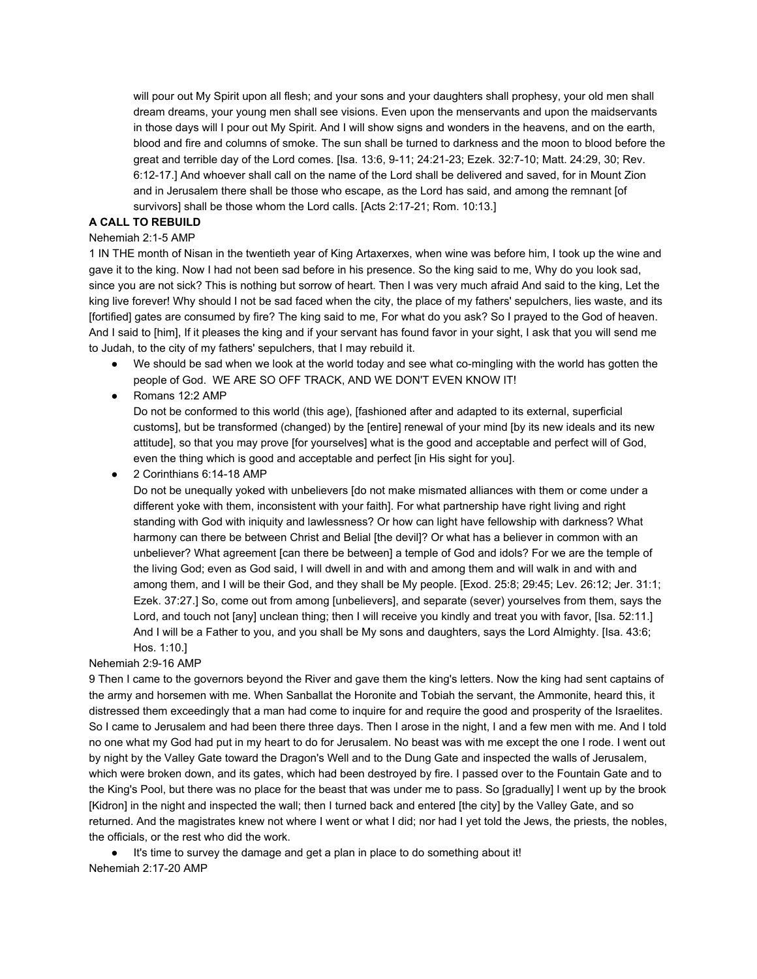will pour out My Spirit upon all flesh; and your sons and your daughters shall prophesy, your old men shall dream dreams, your young men shall see visions. Even upon the menservants and upon the maidservants in those days will I pour out My Spirit. And I will show signs and wonders in the heavens, and on the earth, blood and fire and columns of smoke. The sun shall be turned to darkness and the moon to blood before the great and terrible day of the Lord comes. [Isa. 13:6, 9-11; 24:21-23; Ezek. 32:7-10; Matt. 24:29, 30; Rev. 6:12-17.] And whoever shall call on the name of the Lord shall be delivered and saved, for in Mount Zion and in Jerusalem there shall be those who escape, as the Lord has said, and among the remnant [of survivors] shall be those whom the Lord calls. [Acts 2:17-21; Rom. 10:13.]

### **A CALL TO REBUILD**

#### Nehemiah 2:1-5 AMP

1 IN THE month of Nisan in the twentieth year of King Artaxerxes, when wine was before him, I took up the wine and gave it to the king. Now I had not been sad before in his presence. So the king said to me, Why do you look sad, since you are not sick? This is nothing but sorrow of heart. Then I was very much afraid And said to the king, Let the king live forever! Why should I not be sad faced when the city, the place of my fathers' sepulchers, lies waste, and its [fortified] gates are consumed by fire? The king said to me, For what do you ask? So I prayed to the God of heaven. And I said to [him], If it pleases the king and if your servant has found favor in your sight, I ask that you will send me to Judah, to the city of my fathers' sepulchers, that I may rebuild it.

- We should be sad when we look at the world today and see what co-mingling with the world has gotten the people of God. WE ARE SO OFF TRACK, AND WE DON'T EVEN KNOW IT!
- Romans 12:2 AMP

Do not be conformed to this world (this age), [fashioned after and adapted to its external, superficial customs], but be transformed (changed) by the [entire] renewal of your mind [by its new ideals and its new attitude], so that you may prove [for yourselves] what is the good and acceptable and perfect will of God, even the thing which is good and acceptable and perfect [in His sight for you].

● 2 Corinthians 6:14-18 AMP

Do not be unequally yoked with unbelievers [do not make mismated alliances with them or come under a different yoke with them, inconsistent with your faith]. For what partnership have right living and right standing with God with iniquity and lawlessness? Or how can light have fellowship with darkness? What harmony can there be between Christ and Belial [the devil]? Or what has a believer in common with an unbeliever? What agreement [can there be between] a temple of God and idols? For we are the temple of the living God; even as God said, I will dwell in and with and among them and will walk in and with and among them, and I will be their God, and they shall be My people. [Exod. 25:8; 29:45; Lev. 26:12; Jer. 31:1; Ezek. 37:27.] So, come out from among [unbelievers], and separate (sever) yourselves from them, says the Lord, and touch not [any] unclean thing; then I will receive you kindly and treat you with favor, [Isa. 52:11.] And I will be a Father to you, and you shall be My sons and daughters, says the Lord Almighty. [Isa. 43:6; Hos. 1:10.]

#### Nehemiah 2:9-16 AMP

9 Then I came to the governors beyond the River and gave them the king's letters. Now the king had sent captains of the army and horsemen with me. When Sanballat the Horonite and Tobiah the servant, the Ammonite, heard this, it distressed them exceedingly that a man had come to inquire for and require the good and prosperity of the Israelites. So I came to Jerusalem and had been there three days. Then I arose in the night, I and a few men with me. And I told no one what my God had put in my heart to do for Jerusalem. No beast was with me except the one I rode. I went out by night by the Valley Gate toward the Dragon's Well and to the Dung Gate and inspected the walls of Jerusalem, which were broken down, and its gates, which had been destroyed by fire. I passed over to the Fountain Gate and to the King's Pool, but there was no place for the beast that was under me to pass. So [gradually] I went up by the brook [Kidron] in the night and inspected the wall; then I turned back and entered [the city] by the Valley Gate, and so returned. And the magistrates knew not where I went or what I did; nor had I yet told the Jews, the priests, the nobles, the officials, or the rest who did the work.

● It's time to survey the damage and get a plan in place to do something about it! Nehemiah 2:17-20 AMP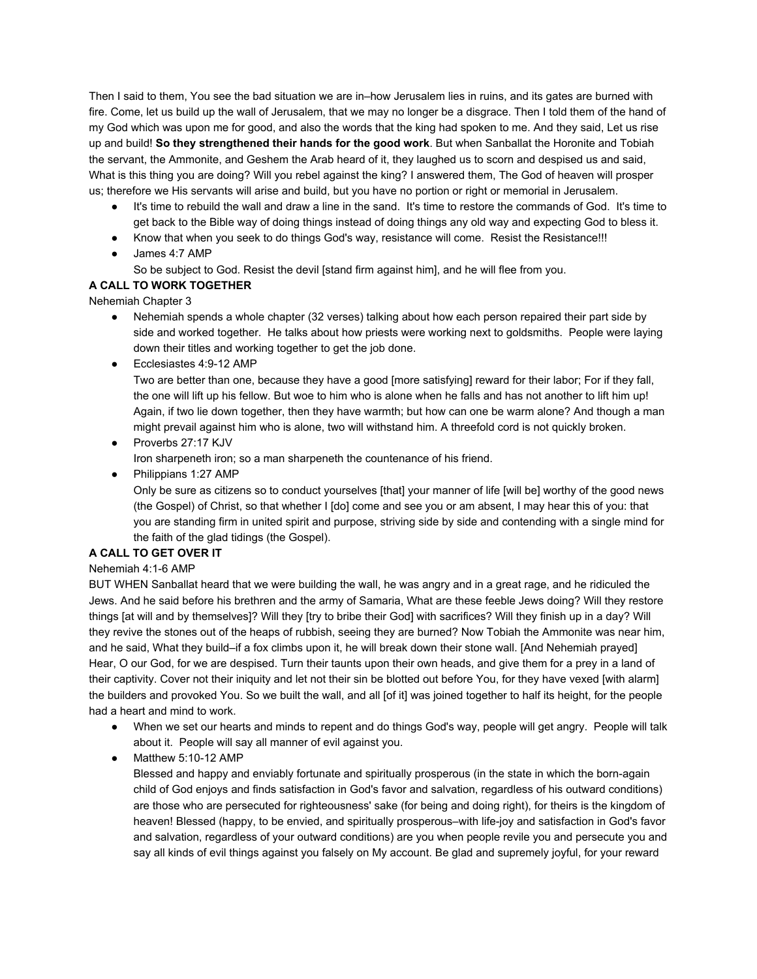Then I said to them, You see the bad situation we are in–how Jerusalem lies in ruins, and its gates are burned with fire. Come, let us build up the wall of Jerusalem, that we may no longer be a disgrace. Then I told them of the hand of my God which was upon me for good, and also the words that the king had spoken to me. And they said, Let us rise up and build! **So they strengthened their hands for the good work**. But when Sanballat the Horonite and Tobiah the servant, the Ammonite, and Geshem the Arab heard of it, they laughed us to scorn and despised us and said, What is this thing you are doing? Will you rebel against the king? I answered them, The God of heaven will prosper us; therefore we His servants will arise and build, but you have no portion or right or memorial in Jerusalem.

- It's time to rebuild the wall and draw a line in the sand. It's time to restore the commands of God. It's time to get back to the Bible way of doing things instead of doing things any old way and expecting God to bless it.
- Know that when you seek to do things God's way, resistance will come. Resist the Resistance!!!
- James 4:7 AMP
	- So be subject to God. Resist the devil [stand firm against him], and he will flee from you.

## **A CALL TO WORK TOGETHER**

Nehemiah Chapter 3

- Nehemiah spends a whole chapter (32 verses) talking about how each person repaired their part side by side and worked together. He talks about how priests were working next to goldsmiths. People were laying down their titles and working together to get the job done.
- Ecclesiastes 4:9-12 AMP

Two are better than one, because they have a good [more satisfying] reward for their labor; For if they fall, the one will lift up his fellow. But woe to him who is alone when he falls and has not another to lift him up! Again, if two lie down together, then they have warmth; but how can one be warm alone? And though a man might prevail against him who is alone, two will withstand him. A threefold cord is not quickly broken.

● Proverbs 27:17 KJV

Iron sharpeneth iron; so a man sharpeneth the countenance of his friend.

● Philippians 1:27 AMP

Only be sure as citizens so to conduct yourselves [that] your manner of life [will be] worthy of the good news (the Gospel) of Christ, so that whether I [do] come and see you or am absent, I may hear this of you: that you are standing firm in united spirit and purpose, striving side by side and contending with a single mind for the faith of the glad tidings (the Gospel).

## **A CALL TO GET OVER IT**

### Nehemiah 4:1-6 AMP

BUT WHEN Sanballat heard that we were building the wall, he was angry and in a great rage, and he ridiculed the Jews. And he said before his brethren and the army of Samaria, What are these feeble Jews doing? Will they restore things [at will and by themselves]? Will they [try to bribe their God] with sacrifices? Will they finish up in a day? Will they revive the stones out of the heaps of rubbish, seeing they are burned? Now Tobiah the Ammonite was near him, and he said, What they build–if a fox climbs upon it, he will break down their stone wall. [And Nehemiah prayed] Hear, O our God, for we are despised. Turn their taunts upon their own heads, and give them for a prey in a land of their captivity. Cover not their iniquity and let not their sin be blotted out before You, for they have vexed [with alarm] the builders and provoked You. So we built the wall, and all [of it] was joined together to half its height, for the people had a heart and mind to work.

- When we set our hearts and minds to repent and do things God's way, people will get angry. People will talk about it. People will say all manner of evil against you.
- $\bullet$  Matthew 5:10-12 AMP

Blessed and happy and enviably fortunate and spiritually prosperous (in the state in which the born-again child of God enjoys and finds satisfaction in God's favor and salvation, regardless of his outward conditions) are those who are persecuted for righteousness' sake (for being and doing right), for theirs is the kingdom of heaven! Blessed (happy, to be envied, and spiritually prosperous–with life-joy and satisfaction in God's favor and salvation, regardless of your outward conditions) are you when people revile you and persecute you and say all kinds of evil things against you falsely on My account. Be glad and supremely joyful, for your reward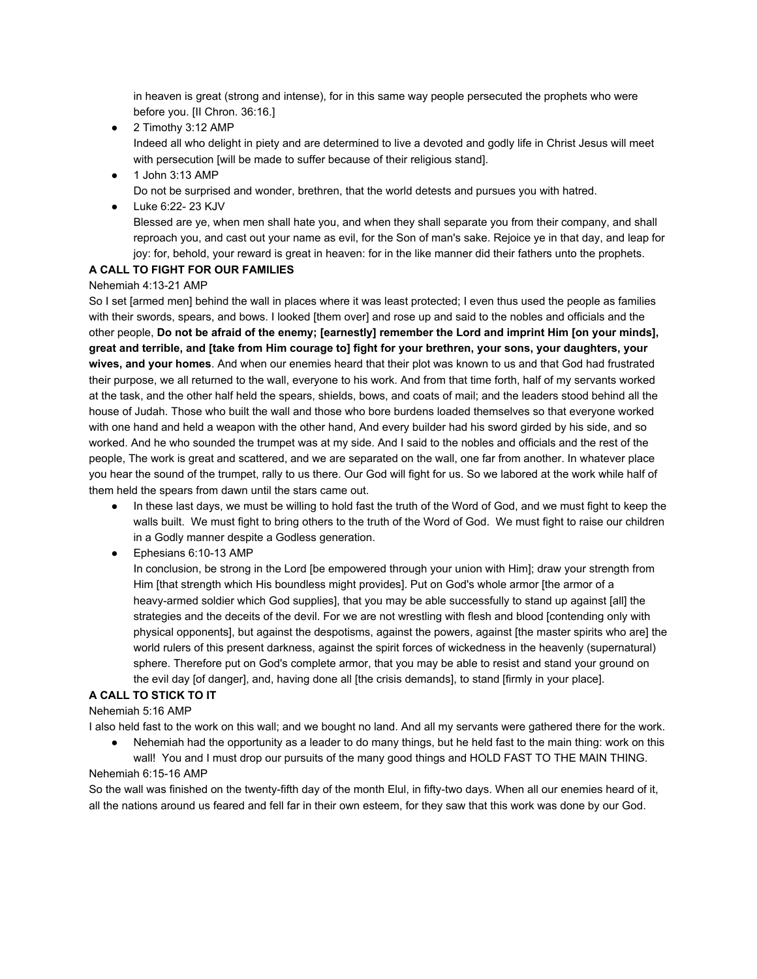in heaven is great (strong and intense), for in this same way people persecuted the prophets who were before you. [II Chron. 36:16.]

- 2 Timothy 3:12 AMP Indeed all who delight in piety and are determined to live a devoted and godly life in Christ Jesus will meet with persecution [will be made to suffer because of their religious stand].
- 1 John 3:13 AMP Do not be surprised and wonder, brethren, that the world detests and pursues you with hatred.
- Luke 6:22-23 KJV

Blessed are ye, when men shall hate you, and when they shall separate you from their company, and shall reproach you, and cast out your name as evil, for the Son of man's sake. Rejoice ye in that day, and leap for joy: for, behold, your reward is great in heaven: for in the like manner did their fathers unto the prophets.

## **A CALL TO FIGHT FOR OUR FAMILIES**

### Nehemiah 4:13-21 AMP

So I set [armed men] behind the wall in places where it was least protected; I even thus used the people as families with their swords, spears, and bows. I looked [them over] and rose up and said to the nobles and officials and the other people, Do not be afraid of the enemy; [earnestly] remember the Lord and imprint Him [on your minds], great and terrible, and [take from Him courage to] fight for your brethren, your sons, your daughters, your **wives, and your homes**. And when our enemies heard that their plot was known to us and that God had frustrated their purpose, we all returned to the wall, everyone to his work. And from that time forth, half of my servants worked at the task, and the other half held the spears, shields, bows, and coats of mail; and the leaders stood behind all the house of Judah. Those who built the wall and those who bore burdens loaded themselves so that everyone worked with one hand and held a weapon with the other hand, And every builder had his sword girded by his side, and so worked. And he who sounded the trumpet was at my side. And I said to the nobles and officials and the rest of the people, The work is great and scattered, and we are separated on the wall, one far from another. In whatever place you hear the sound of the trumpet, rally to us there. Our God will fight for us. So we labored at the work while half of them held the spears from dawn until the stars came out.

- In these last days, we must be willing to hold fast the truth of the Word of God, and we must fight to keep the walls built. We must fight to bring others to the truth of the Word of God. We must fight to raise our children in a Godly manner despite a Godless generation.
- $\bullet$  Ephesians 6:10-13 AMP

In conclusion, be strong in the Lord [be empowered through your union with Him]; draw your strength from Him [that strength which His boundless might provides]. Put on God's whole armor [the armor of a heavy-armed soldier which God supplies], that you may be able successfully to stand up against [all] the strategies and the deceits of the devil. For we are not wrestling with flesh and blood [contending only with physical opponents], but against the despotisms, against the powers, against [the master spirits who are] the world rulers of this present darkness, against the spirit forces of wickedness in the heavenly (supernatural) sphere. Therefore put on God's complete armor, that you may be able to resist and stand your ground on the evil day [of danger], and, having done all [the crisis demands], to stand [firmly in your place].

## **A CALL TO STICK TO IT**

Nehemiah 5:16 AMP

I also held fast to the work on this wall; and we bought no land. And all my servants were gathered there for the work.

Nehemiah had the opportunity as a leader to do many things, but he held fast to the main thing: work on this wall! You and I must drop our pursuits of the many good things and HOLD FAST TO THE MAIN THING.

### Nehemiah 6:15-16 AMP

So the wall was finished on the twenty-fifth day of the month Elul, in fifty-two days. When all our enemies heard of it, all the nations around us feared and fell far in their own esteem, for they saw that this work was done by our God.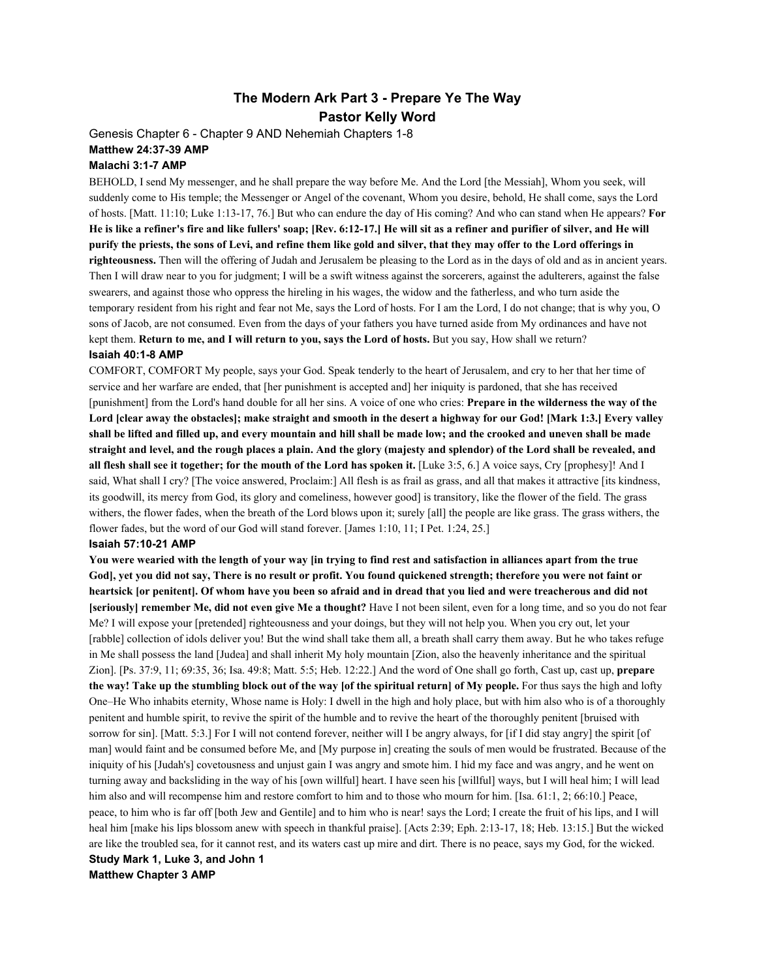## **The Modern Ark Part 3 Prepare Ye The Way Pastor Kelly Word**

Genesis Chapter 6 - Chapter 9 AND Nehemiah Chapters 1-8 **Matthew 24:3739 AMP**

#### **Malachi 3:17 AMP**

BEHOLD, I send My messenger, and he shall prepare the way before Me. And the Lord [the Messiah], Whom you seek, will suddenly come to His temple; the Messenger or Angel of the covenant, Whom you desire, behold, He shall come, says the Lord of hosts. [Matt. 11:10; Luke 1:1317, 76.] But who can endure the day of His coming? And who can stand when He appears? **For** He is like a refiner's fire and like fullers' soap; [Rev. 6:12-17.] He will sit as a refiner and purifier of silver, and He will purify the priests, the sons of Levi, and refine them like gold and silver, that they may offer to the Lord offerings in **righteousness.** Then will the offering of Judah and Jerusalem be pleasing to the Lord as in the days of old and as in ancient years. Then I will draw near to you for judgment; I will be a swift witness against the sorcerers, against the adulterers, against the false swearers, and against those who oppress the hireling in his wages, the widow and the fatherless, and who turn aside the temporary resident from his right and fear not Me, says the Lord of hosts. For I am the Lord, I do not change; that is why you, O sons of Jacob, are not consumed. Even from the days of your fathers you have turned aside from My ordinances and have not kept them. **Return to me, and I will return to you, says the Lord of hosts.**But you say, How shall we return? **Isaiah 40:18 AMP**

COMFORT, COMFORT My people, says your God. Speak tenderly to the heart of Jerusalem, and cry to her that her time of service and her warfare are ended, that [her punishment is accepted and] her iniquity is pardoned, that she has received [punishment] from the Lord's hand double for all her sins. A voice of one who cries: **Prepare in the wilderness the way of the** Lord [clear away the obstacles]; make straight and smooth in the desert a highway for our God! [Mark 1:3.] Every valley shall be lifted and filled up, and every mountain and hill shall be made low; and the crooked and uneven shall be made straight and level, and the rough places a plain. And the glory (majesty and splendor) of the Lord shall be revealed, and all flesh shall see it together; for the mouth of the Lord has spoken it. [Luke 3:5, 6.] A voice says, Cry [prophesy]! And I said, What shall I cry? [The voice answered, Proclaim:] All flesh is as frail as grass, and all that makes it attractive [its kindness, its goodwill, its mercy from God, its glory and comeliness, however good] is transitory, like the flower of the field. The grass withers, the flower fades, when the breath of the Lord blows upon it; surely [all] the people are like grass. The grass withers, the flower fades, but the word of our God will stand forever. [James 1:10, 11; I Pet. 1:24, 25.]

#### **Isaiah 57:1021 AMP**

You were wearied with the length of your way [in trying to find rest and satisfaction in alliances apart from the true God], yet you did not say, There is no result or profit. You found quickened strength; therefore you were not faint or heartsick [or penitent]. Of whom have you been so afraid and in dread that you lied and were treacherous and did not **[seriously] remember Me, did not even give Me a thought?** Have I not been silent, even for a long time, and so you do not fear Me? I will expose your [pretended] righteousness and your doings, but they will not help you. When you cry out, let your [rabble] collection of idols deliver you! But the wind shall take them all, a breath shall carry them away. But he who takes refuge in Me shall possess the land [Judea] and shall inherit My holy mountain [Zion, also the heavenly inheritance and the spiritual Zion]. [Ps. 37:9, 11; 69:35, 36; Isa. 49:8; Matt. 5:5; Heb. 12:22.] And the word of One shall go forth, Cast up, cast up, **prepare** the way! Take up the stumbling block out of the way [of the spiritual return] of My people. For thus says the high and lofty One–He Who inhabits eternity, Whose name is Holy: I dwell in the high and holy place, but with him also who is of a thoroughly penitent and humble spirit, to revive the spirit of the humble and to revive the heart of the thoroughly penitent [bruised with sorrow for sin]. [Matt. 5:3.] For I will not contend forever, neither will I be angry always, for [if I did stay angry] the spirit [of man] would faint and be consumed before Me, and [My purpose in] creating the souls of men would be frustrated. Because of the iniquity of his [Judah's] covetousness and unjust gain I was angry and smote him. I hid my face and was angry, and he went on turning away and backsliding in the way of his [own willful] heart. I have seen his [willful] ways, but I will heal him; I will lead him also and will recompense him and restore comfort to him and to those who mourn for him. [Isa. 61:1, 2; 66:10.] Peace, peace, to him who is far off [both Jew and Gentile] and to him who is near! says the Lord; I create the fruit of his lips, and I will heal him [make his lips blossom anew with speech in thankful praise]. [Acts 2:39; Eph. 2:13-17, 18; Heb. 13:15.] But the wicked are like the troubled sea, for it cannot rest, and its waters cast up mire and dirt. There is no peace, says my God, for the wicked. **Study Mark 1, Luke 3, and John 1**

**Matthew Chapter 3 AMP**